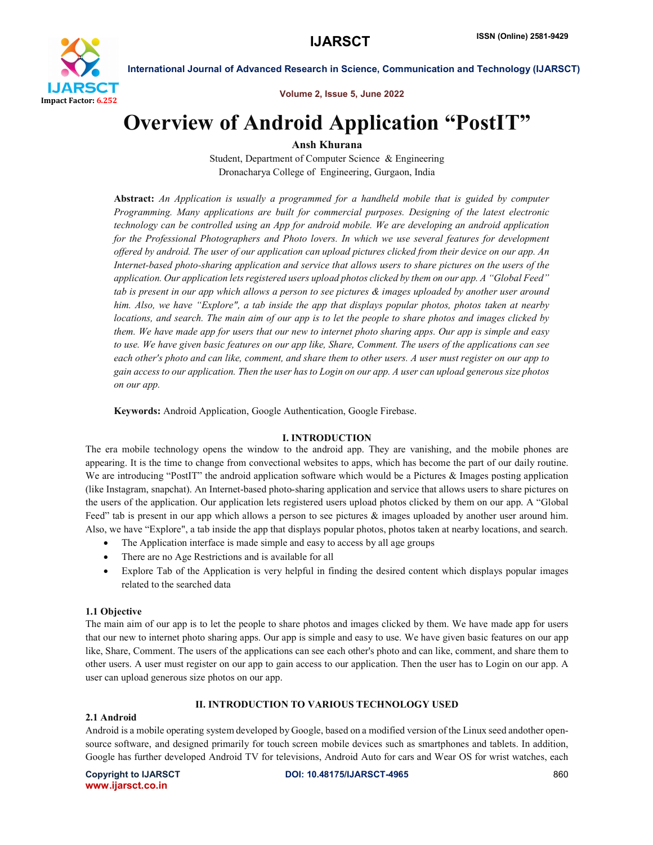

Volume 2, Issue 5, June 2022

## Overview of Android Application "PostIT"

Ansh Khurana

Student, Department of Computer Science & Engineering Dronacharya College of Engineering, Gurgaon, India

Abstract: *An Application is usually a programmed for a handheld mobile that is guided by computer Programming. Many applications are built for commercial purposes. Designing of the latest electronic technology can be controlled using an App for android mobile. We are developing an android application*  for the Professional Photographers and Photo lovers. In which we use several features for development *offered by android. The user of our application can upload pictures clicked from their device on our app. An Internet-based photo-sharing application and service that allows users to share pictures on the users of the application. Our application lets registered users upload photos clicked by them on our app. A "Global Feed" tab is present in our app which allows a person to see pictures & images uploaded by another user around him. Also, we have "Explore", a tab inside the app that displays popular photos, photos taken at nearby locations, and search. The main aim of our app is to let the people to share photos and images clicked by them. We have made app for users that our new to internet photo sharing apps. Our app is simple and easy to use. We have given basic features on our app like, Share, Comment. The users of the applications can see each other's photo and can like, comment, and share them to other users. A user must register on our app to gain access to our application. Then the user has to Login on our app. A user can upload generous size photos on our app.*

Keywords: Android Application, Google Authentication, Google Firebase.

#### I. INTRODUCTION

The era mobile technology opens the window to the android app. They are vanishing, and the mobile phones are appearing. It is the time to change from convectional websites to apps, which has become the part of our daily routine. We are introducing "PostIT" the android application software which would be a Pictures & Images posting application (like Instagram, snapchat). An Internet-based photo-sharing application and service that allows users to share pictures on the users of the application. Our application lets registered users upload photos clicked by them on our app. A "Global Feed" tab is present in our app which allows a person to see pictures & images uploaded by another user around him. Also, we have "Explore", a tab inside the app that displays popular photos, photos taken at nearby locations, and search.

- The Application interface is made simple and easy to access by all age groups
- There are no Age Restrictions and is available for all
- Explore Tab of the Application is very helpful in finding the desired content which displays popular images related to the searched data

#### 1.1 Objective

The main aim of our app is to let the people to share photos and images clicked by them. We have made app for users that our new to internet photo sharing apps. Our app is simple and easy to use. We have given basic features on our app like, Share, Comment. The users of the applications can see each other's photo and can like, comment, and share them to other users. A user must register on our app to gain access to our application. Then the user has to Login on our app. A user can upload generous size photos on our app.

#### II. INTRODUCTION TO VARIOUS TECHNOLOGY USED

#### 2.1 Android

Android is a mobile operating system developed by Google, based on a modified version of the Linux seed andother opensource software, and designed primarily for touch screen mobile devices such as smartphones and tablets. In addition, Google has further developed Android TV for televisions, Android Auto for cars and Wear OS for wrist watches, each

www.ijarsct.co.in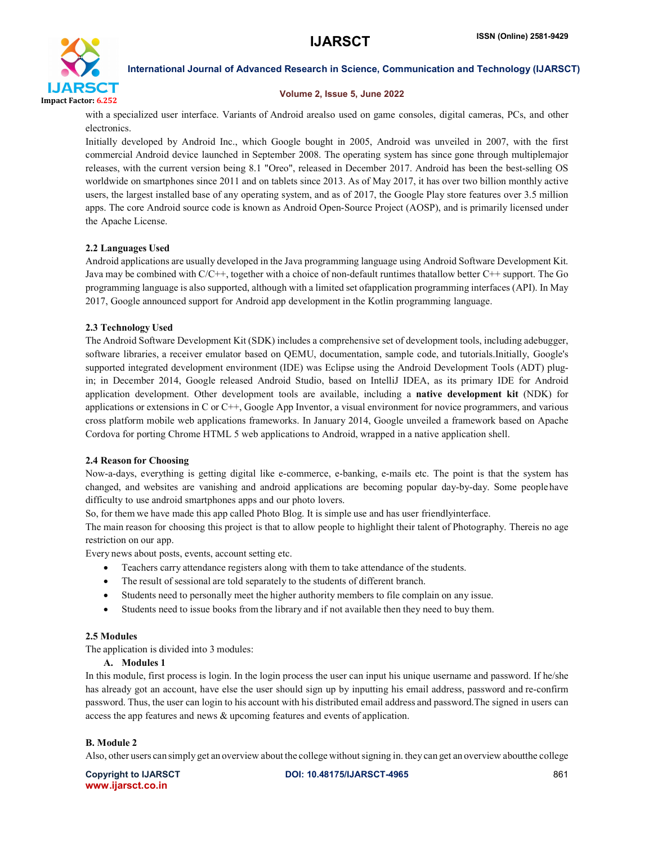

#### Volume 2, Issue 5, June 2022

with a specialized user interface. Variants of Android arealso used on game consoles, digital cameras, PCs, and other electronics.

Initially developed by Android Inc., which Google bought in 2005, Android was unveiled in 2007, with the first commercial Android device launched in September 2008. The operating system has since gone through multiplemajor releases, with the current version being 8.1 "Oreo", released in December 2017. Android has been the best-selling OS worldwide on smartphones since 2011 and on tablets since 2013. As of May 2017, it has over two billion monthly active users, the largest installed base of any operating system, and as of 2017, the Google Play store features over 3.5 million apps. The core Android source code is known as Android Open-Source Project (AOSP), and is primarily licensed under the Apache License.

## 2.2 Languages Used

Android applications are usually developed in the Java programming language using Android Software Development Kit. Java may be combined with C/C++, together with a choice of non-default runtimes thatallow better C++ support. The Go programming language is also supported, although with a limited set ofapplication programming interfaces (API). In May 2017, Google announced support for Android app development in the Kotlin programming language.

#### 2.3 Technology Used

The Android Software Development Kit (SDK) includes a comprehensive set of development tools, including adebugger, software libraries, a receiver emulator based on QEMU, documentation, sample code, and tutorials.Initially, Google's supported integrated development environment (IDE) was Eclipse using the Android Development Tools (ADT) plugin; in December 2014, Google released Android Studio, based on IntelliJ IDEA, as its primary IDE for Android application development. Other development tools are available, including a native development kit (NDK) for applications or extensions in C or C++, Google App Inventor, a visual environment for novice programmers, and various cross platform mobile web applications frameworks. In January 2014, Google unveiled a framework based on Apache Cordova for porting Chrome HTML 5 web applications to Android, wrapped in a native application shell.

#### 2.4 Reason for Choosing

Now-a-days, everything is getting digital like e-commerce, e-banking, e-mails etc. The point is that the system has changed, and websites are vanishing and android applications are becoming popular day-by-day. Some peoplehave difficulty to use android smartphones apps and our photo lovers.

So, for them we have made this app called Photo Blog. It is simple use and has user friendlyinterface.

The main reason for choosing this project is that to allow people to highlight their talent of Photography. Thereis no age restriction on our app.

Every news about posts, events, account setting etc.

- Teachers carry attendance registers along with them to take attendance of the students.
- The result of sessional are told separately to the students of different branch.
- Students need to personally meet the higher authority members to file complain on any issue.
- Students need to issue books from the library and if not available then they need to buy them.

#### 2.5 Modules

The application is divided into 3 modules:

#### A. Modules 1

In this module, first process is login. In the login process the user can input his unique username and password. If he/she has already got an account, have else the user should sign up by inputting his email address, password and re-confirm password. Thus, the user can login to his account with his distributed email address and password.The signed in users can access the app features and news & upcoming features and events of application.

#### B. Module 2

Also, other users can simply get an overview about the college withoutsigning in. they can get an overview aboutthe college

www.ijarsct.co.in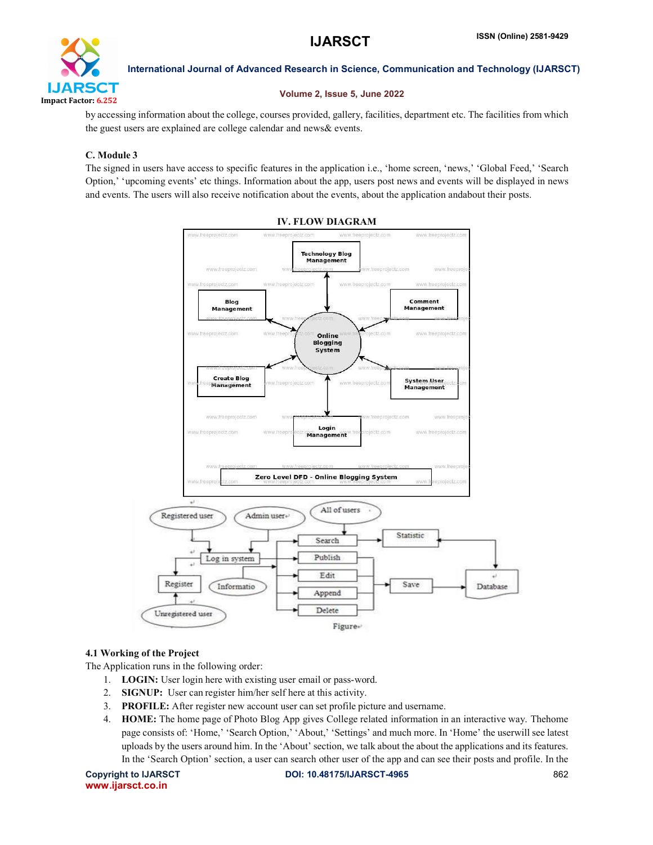

#### Volume 2, Issue 5, June 2022

by accessing information about the college, courses provided, gallery, facilities, department etc. The facilities from which the guest users are explained are college calendar and news& events.

## C. Module 3

The signed in users have access to specific features in the application i.e., 'home screen, 'news,' 'Global Feed,' 'Search Option,' 'upcoming events' etc things. Information about the app, users post news and events will be displayed in news and events. The users will also receive notification about the events, about the application andabout their posts.



#### IV. FLOW DIAGRAM

#### 4.1 Working of the Project

The Application runs in the following order:

- 1. LOGIN: User login here with existing user email or pass-word.
- 2. SIGNUP: User can register him/her self here at this activity.
- 3. PROFILE: After register new account user can set profile picture and username.
- 4. HOME: The home page of Photo Blog App gives College related information in an interactive way. Thehome page consists of: 'Home,' 'Search Option,' 'About,' 'Settings' and much more. In 'Home' the userwill see latest uploads by the users around him. In the 'About' section, we talk about the about the applications and its features. In the 'Search Option' section, a user can search other user of the app and can see their posts and profile. In the

```
www.ijarsct.co.in
```
Copyright to IJARSCT **DOI: 10.48175/IJARSCT-4965** 862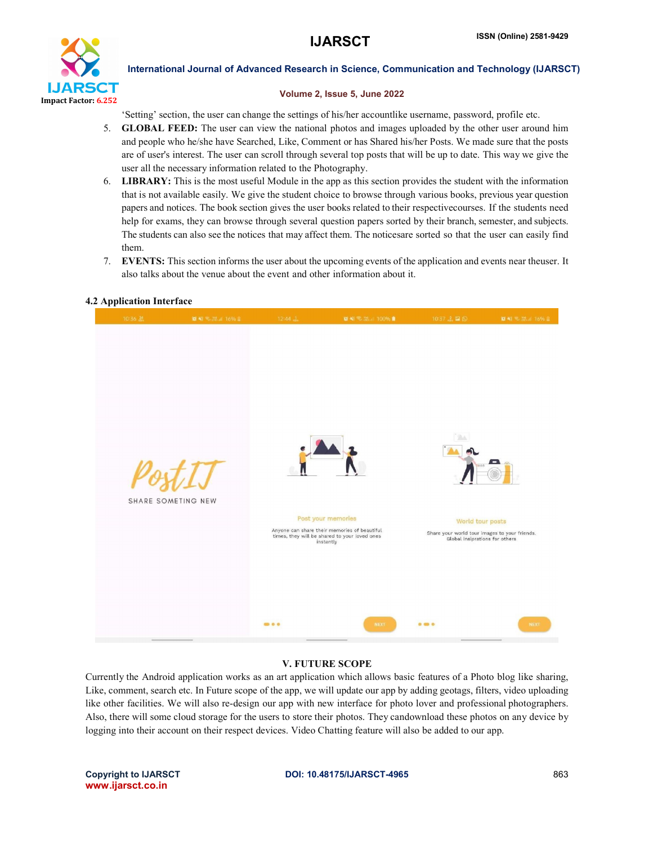

#### Volume 2, Issue 5, June 2022

'Setting' section, the user can change the settings of his/her accountlike username, password, profile etc.

- 5. GLOBAL FEED: The user can view the national photos and images uploaded by the other user around him and people who he/she have Searched, Like, Comment or has Shared his/her Posts. We made sure that the posts are of user's interest. The user can scroll through several top posts that will be up to date. This way we give the user all the necessary information related to the Photography.
- 6. LIBRARY: This is the most useful Module in the app as this section provides the student with the information that is not available easily. We give the student choice to browse through various books, previous year question papers and notices. The book section gives the user books related to their respectivecourses. If the students need help for exams, they can browse through several question papers sorted by their branch, semester, and subjects. The students can also see the notices that may affect them. The noticesare sorted so that the user can easily find them.
- 7. EVENTS: This section informs the user about the upcoming events of the application and events near theuser. It also talks about the venue about the event and other information about it.

# **IS AT 2. W. J. TOOM & 10' 41' 51. 22. at 1765** SHARE SOMETING NEW Post your memories World tour posts Anyone can share their memories of beautiful<br>times, they will be shared to your loved ones<br>instantly Share your world tour images to your friends.<br>Global insiprations for others  $00000$

#### 4.2 Application Interface

#### V. FUTURE SCOPE

Currently the Android application works as an art application which allows basic features of a Photo blog like sharing, Like, comment, search etc. In Future scope of the app, we will update our app by adding geotags, filters, video uploading like other facilities. We will also re-design our app with new interface for photo lover and professional photographers. Also, there will some cloud storage for the users to store their photos. They candownload these photos on any device by logging into their account on their respect devices. Video Chatting feature will also be added to our app.

www.ijarsct.co.in